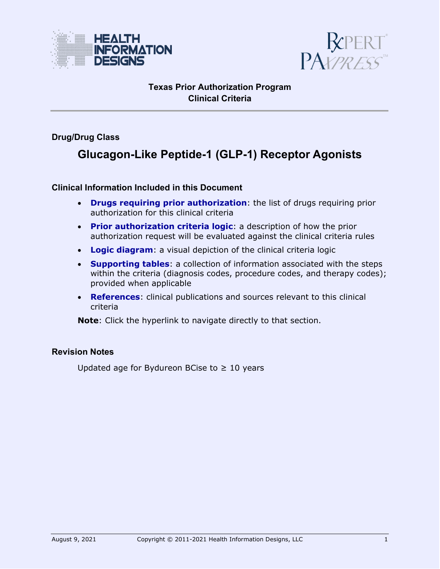



#### **Texas Prior Authorization Program Clinical Criteria**

**Drug/Drug Class** 

## **Glucagon-Like Peptide-1 (GLP-1) Receptor Agonists**

#### **Clinical Information Included in this Document**

- **[Drugs requiring prior authorization](#page-1-0)**: the list of drugs requiring prior authorization for this clinical criteria
- **[Prior authorization criteria logic](#page-2-0):** a description of how the prior authorization request will be evaluated against the clinical criteria rules
- **[Logic diagram](#page-3-0)**: a visual depiction of the clinical criteria logic
- **[Supporting tables](#page-4-0)**: a collection of information associated with the steps within the criteria (diagnosis codes, procedure codes, and therapy codes); provided when applicable
- **[References](#page-14-0)**: clinical publications and sources relevant to this clinical criteria

**Note**: Click the hyperlink to navigate directly to that section.

#### <span id="page-0-0"></span>**Revision Notes**

Updated age for Bydureon BCise to  $\geq 10$  years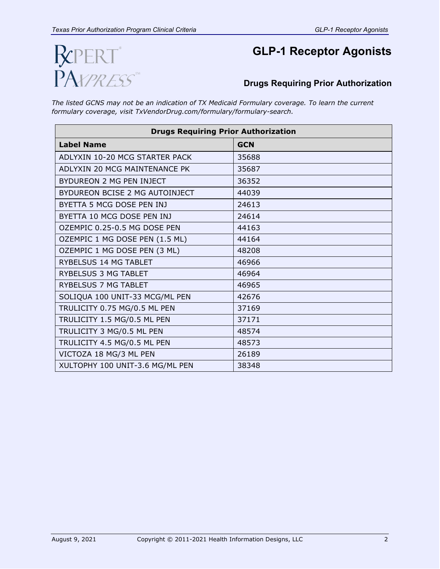# **R**CPERT® PAYPRESS"

## **GLP-1 Receptor Agonists**

#### <span id="page-1-0"></span>**Drugs Requiring Prior Authorization**

*The listed GCNS may not be an indication of TX Medicaid Formulary coverage. To learn the current formulary coverage, visit TxVendorDrug.com/formulary/formulary-search.* 

| <b>Drugs Requiring Prior Authorization</b> |            |  |
|--------------------------------------------|------------|--|
| <b>Label Name</b>                          | <b>GCN</b> |  |
| ADLYXIN 10-20 MCG STARTER PACK             | 35688      |  |
| ADLYXIN 20 MCG MAINTENANCE PK              | 35687      |  |
| BYDUREON 2 MG PEN INJECT                   | 36352      |  |
| BYDUREON BCISE 2 MG AUTOINJECT             | 44039      |  |
| BYETTA 5 MCG DOSE PEN INJ                  | 24613      |  |
| BYETTA 10 MCG DOSE PEN INJ                 | 24614      |  |
| OZEMPIC 0.25-0.5 MG DOSE PEN               | 44163      |  |
| OZEMPIC 1 MG DOSE PEN (1.5 ML)             | 44164      |  |
| OZEMPIC 1 MG DOSE PEN (3 ML)               | 48208      |  |
| <b>RYBELSUS 14 MG TABLET</b>               | 46966      |  |
| <b>RYBELSUS 3 MG TABLET</b>                | 46964      |  |
| <b>RYBELSUS 7 MG TABLET</b>                | 46965      |  |
| SOLIQUA 100 UNIT-33 MCG/ML PEN             | 42676      |  |
| TRULICITY 0.75 MG/0.5 ML PEN               | 37169      |  |
| TRULICITY 1.5 MG/0.5 ML PEN                | 37171      |  |
| TRULICITY 3 MG/0.5 ML PEN                  | 48574      |  |
| TRULICITY 4.5 MG/0.5 ML PEN                | 48573      |  |
| VICTOZA 18 MG/3 ML PEN                     | 26189      |  |
| XULTOPHY 100 UNIT-3.6 MG/ML PEN            | 38348      |  |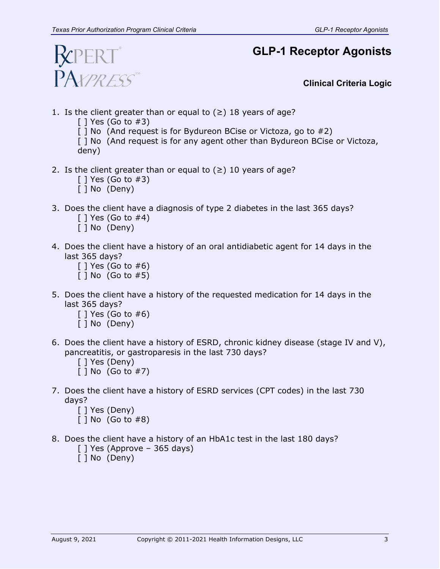

#### **Clinical Criteria Logic**

- <span id="page-2-0"></span>1. Is the client greater than or equal to  $(≥)$  18 years of age?
	- $\lceil$  | Yes (Go to #3)
	- $\lceil$  | No (And request is for Bydureon BCise or Victoza, go to  $\#2$ )
	- [ ] No (And request is for any agent other than Bydureon BCise or Victoza, deny)
- 2. Is the client greater than or equal to  $(≥)$  10 years of age?
	- $\lceil$  | Yes (Go to #3)
	- [ ] No (Deny)
- 3. Does the client have a diagnosis of type 2 diabetes in the last 365 days?
	- [ ] Yes (Go to #4)
	- [ ] No (Deny)
- 4. Does the client have a history of an oral antidiabetic agent for 14 days in the last 365 days?
	- $[$  ] Yes (Go to  $#6$ )  $\lceil \cdot \rceil$  No (Go to #5)
- 5. Does the client have a history of the requested medication for 14 days in the last 365 days?
	- $\lceil$  1 Yes (Go to #6)
	- [ ] No (Deny)
- 6. Does the client have a history of ESRD, chronic kidney disease (stage IV and V), pancreatitis, or gastroparesis in the last 730 days?
	- [ ] Yes (Deny)  $\lceil \cdot \rceil$  No (Go to #7)
- 7. Does the client have a history of ESRD services (CPT codes) in the last 730 days?
	- [ ] Yes (Deny)
	- $\lceil \cdot \rceil$  No (Go to #8)
- 8. Does the client have a history of an HbA1c test in the last 180 days?
	- $[ ]$  Yes (Approve 365 days)
	- [ ] No (Deny)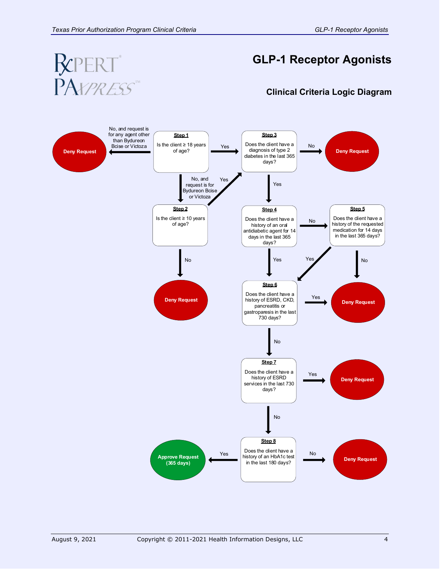

#### <span id="page-3-0"></span>**Clinical Criteria Logic Diagram**

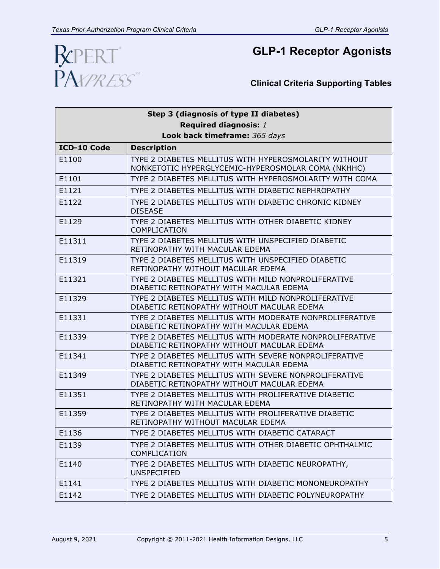

#### <span id="page-4-0"></span>**Clinical Criteria Supporting Tables**

| Step 3 (diagnosis of type II diabetes) |                                                                                                             |
|----------------------------------------|-------------------------------------------------------------------------------------------------------------|
| Required diagnosis: 1                  |                                                                                                             |
| Look back timeframe: 365 days          |                                                                                                             |
| ICD-10 Code                            | <b>Description</b>                                                                                          |
| E1100                                  | TYPE 2 DIABETES MELLITUS WITH HYPEROSMOLARITY WITHOUT<br>NONKETOTIC HYPERGLYCEMIC-HYPEROSMOLAR COMA (NKHHC) |
| E1101                                  | TYPE 2 DIABETES MELLITUS WITH HYPEROSMOLARITY WITH COMA                                                     |
| E1121                                  | TYPE 2 DIABETES MELLITUS WITH DIABETIC NEPHROPATHY                                                          |
| E1122                                  | TYPE 2 DIABETES MELLITUS WITH DIABETIC CHRONIC KIDNEY<br><b>DISEASE</b>                                     |
| E1129                                  | TYPE 2 DIABETES MELLITUS WITH OTHER DIABETIC KIDNEY<br>COMPLICATION                                         |
| E11311                                 | TYPE 2 DIABETES MELLITUS WITH UNSPECIFIED DIABETIC<br>RETINOPATHY WITH MACULAR EDEMA                        |
| E11319                                 | TYPE 2 DIABETES MELLITUS WITH UNSPECIFIED DIABETIC<br>RETINOPATHY WITHOUT MACULAR EDEMA                     |
| E11321                                 | TYPE 2 DIABETES MELLITUS WITH MILD NONPROLIFERATIVE<br>DIABETIC RETINOPATHY WITH MACULAR EDEMA              |
| E11329                                 | TYPE 2 DIABETES MELLITUS WITH MILD NONPROLIFERATIVE<br>DIABETIC RETINOPATHY WITHOUT MACULAR EDEMA           |
| E11331                                 | TYPE 2 DIABETES MELLITUS WITH MODERATE NONPROLIFERATIVE<br>DIABETIC RETINOPATHY WITH MACULAR EDEMA          |
| E11339                                 | TYPE 2 DIABETES MELLITUS WITH MODERATE NONPROLIFERATIVE<br>DIABETIC RETINOPATHY WITHOUT MACULAR EDEMA       |
| E11341                                 | TYPE 2 DIABETES MELLITUS WITH SEVERE NONPROLIFERATIVE<br>DIABETIC RETINOPATHY WITH MACULAR EDEMA            |
| E11349                                 | TYPE 2 DIABETES MELLITUS WITH SEVERE NONPROLIFERATIVE<br>DIABETIC RETINOPATHY WITHOUT MACULAR EDEMA         |
| E11351                                 | TYPE 2 DIABETES MELLITUS WITH PROLIFERATIVE DIABETIC<br>RETINOPATHY WITH MACULAR EDEMA                      |
| E11359                                 | TYPE 2 DIABETES MELLITUS WITH PROLIFERATIVE DIABETIC<br>RETINOPATHY WITHOUT MACULAR EDEMA                   |
| E1136                                  | TYPE 2 DIABETES MELLITUS WITH DIABETIC CATARACT                                                             |
| E1139                                  | TYPE 2 DIABETES MELLITUS WITH OTHER DIABETIC OPHTHALMIC<br>COMPLICATION                                     |
| E1140                                  | TYPE 2 DIABETES MELLITUS WITH DIABETIC NEUROPATHY,<br><b>UNSPECIFIED</b>                                    |
| E1141                                  | TYPE 2 DIABETES MELLITUS WITH DIABETIC MONONEUROPATHY                                                       |
| E1142                                  | TYPE 2 DIABETES MELLITUS WITH DIABETIC POLYNEUROPATHY                                                       |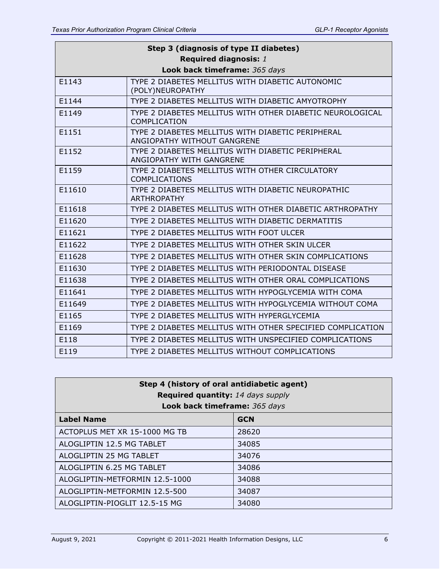| Step 3 (diagnosis of type II diabetes) |                                                                                  |
|----------------------------------------|----------------------------------------------------------------------------------|
| Required diagnosis: 1                  |                                                                                  |
|                                        | Look back timeframe: 365 days                                                    |
| E1143                                  | TYPE 2 DIABETES MELLITUS WITH DIABETIC AUTONOMIC<br>(POLY)NEUROPATHY             |
| F1144                                  | TYPE 2 DIABETES MELLITUS WITH DIABETIC AMYOTROPHY                                |
| E1149                                  | TYPE 2 DIABETES MELLITUS WITH OTHER DIABETIC NEUROLOGICAL<br>COMPLICATION        |
| E1151                                  | TYPE 2 DIABETES MELLITUS WITH DIABETIC PERIPHERAL<br>ANGIOPATHY WITHOUT GANGRENE |
| E1152                                  | TYPE 2 DIABETES MELLITUS WITH DIABETIC PERIPHERAL<br>ANGIOPATHY WITH GANGRENE    |
| E1159                                  | TYPE 2 DIABETES MELLITUS WITH OTHER CIRCULATORY<br><b>COMPLICATIONS</b>          |
| E11610                                 | TYPE 2 DIABETES MELLITUS WITH DIABETIC NEUROPATHIC<br><b>ARTHROPATHY</b>         |
| E11618                                 | TYPE 2 DIABETES MELLITUS WITH OTHER DIABETIC ARTHROPATHY                         |
| E11620                                 | TYPE 2 DIABETES MELLITUS WITH DIABETIC DERMATITIS                                |
| E11621                                 | TYPE 2 DIABETES MELLITUS WITH FOOT ULCER                                         |
| E11622                                 | TYPE 2 DIABETES MELLITUS WITH OTHER SKIN ULCER                                   |
| E11628                                 | TYPE 2 DIABETES MELLITUS WITH OTHER SKIN COMPLICATIONS                           |
| E11630                                 | TYPE 2 DIABETES MELLITUS WITH PERIODONTAL DISEASE                                |
| E11638                                 | TYPE 2 DIABETES MELLITUS WITH OTHER ORAL COMPLICATIONS                           |
| E11641                                 | TYPE 2 DIABETES MELLITUS WITH HYPOGLYCEMIA WITH COMA                             |
| E11649                                 | TYPE 2 DIABETES MELLITUS WITH HYPOGLYCEMIA WITHOUT COMA                          |
| E1165                                  | TYPE 2 DIABETES MELLITUS WITH HYPERGLYCEMIA                                      |
| E1169                                  | TYPE 2 DIABETES MELLITUS WITH OTHER SPECIFIED COMPLICATION                       |
| E118                                   | TYPE 2 DIABETES MELLITUS WITH UNSPECIFIED COMPLICATIONS                          |
| E119                                   | TYPE 2 DIABETES MELLITUS WITHOUT COMPLICATIONS                                   |

| Step 4 (history of oral antidiabetic agent)<br>Required quantity: 14 days supply<br>Look back timeframe: 365 days |            |  |
|-------------------------------------------------------------------------------------------------------------------|------------|--|
| <b>Label Name</b>                                                                                                 | <b>GCN</b> |  |
| ACTOPLUS MET XR 15-1000 MG TB                                                                                     | 28620      |  |
| ALOGLIPTIN 12.5 MG TABLET                                                                                         | 34085      |  |
| ALOGLIPTIN 25 MG TABLET                                                                                           | 34076      |  |
| ALOGLIPTIN 6.25 MG TABLET                                                                                         | 34086      |  |
| ALOGLIPTIN-METFORMIN 12.5-1000                                                                                    | 34088      |  |
| ALOGLIPTIN-METFORMIN 12.5-500                                                                                     | 34087      |  |
| ALOGLIPTIN-PIOGLIT 12.5-15 MG                                                                                     | 34080      |  |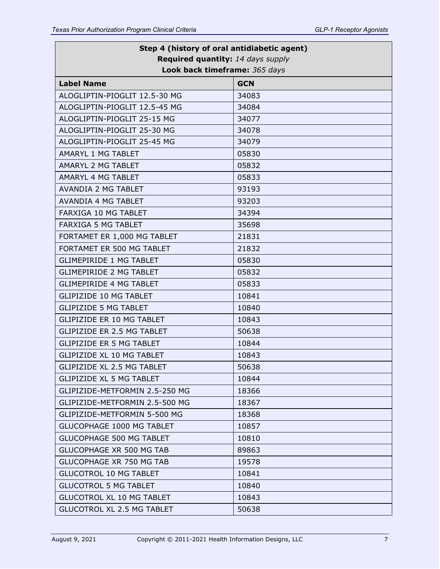| Step 4 (history of oral antidiabetic agent) |                               |  |  |
|---------------------------------------------|-------------------------------|--|--|
| Required quantity: 14 days supply           |                               |  |  |
|                                             | Look back timeframe: 365 days |  |  |
| <b>Label Name</b>                           | <b>GCN</b>                    |  |  |
| ALOGLIPTIN-PIOGLIT 12.5-30 MG               | 34083                         |  |  |
| ALOGLIPTIN-PIOGLIT 12.5-45 MG               | 34084                         |  |  |
| ALOGLIPTIN-PIOGLIT 25-15 MG                 | 34077                         |  |  |
| ALOGLIPTIN-PIOGLIT 25-30 MG                 | 34078                         |  |  |
| ALOGLIPTIN-PIOGLIT 25-45 MG                 | 34079                         |  |  |
| AMARYL 1 MG TABLET                          | 05830                         |  |  |
| AMARYL 2 MG TABLET                          | 05832                         |  |  |
| AMARYL 4 MG TABLET                          | 05833                         |  |  |
| <b>AVANDIA 2 MG TABLET</b>                  | 93193                         |  |  |
| <b>AVANDIA 4 MG TABLET</b>                  | 93203                         |  |  |
| FARXIGA 10 MG TABLET                        | 34394                         |  |  |
| <b>FARXIGA 5 MG TABLET</b>                  | 35698                         |  |  |
| FORTAMET ER 1,000 MG TABLET                 | 21831                         |  |  |
| FORTAMET ER 500 MG TABLET                   | 21832                         |  |  |
| <b>GLIMEPIRIDE 1 MG TABLET</b>              | 05830                         |  |  |
| <b>GLIMEPIRIDE 2 MG TABLET</b>              | 05832                         |  |  |
| <b>GLIMEPIRIDE 4 MG TABLET</b>              | 05833                         |  |  |
| <b>GLIPIZIDE 10 MG TABLET</b>               | 10841                         |  |  |
| <b>GLIPIZIDE 5 MG TABLET</b>                | 10840                         |  |  |
| <b>GLIPIZIDE ER 10 MG TABLET</b>            | 10843                         |  |  |
| <b>GLIPIZIDE ER 2.5 MG TABLET</b>           | 50638                         |  |  |
| <b>GLIPIZIDE ER 5 MG TABLET</b>             | 10844                         |  |  |
| <b>GLIPIZIDE XL 10 MG TABLET</b>            | 10843                         |  |  |
| <b>GLIPIZIDE XL 2.5 MG TABLET</b>           | 50638                         |  |  |
| <b>GLIPIZIDE XL 5 MG TABLET</b>             | 10844                         |  |  |
| GLIPIZIDE-METFORMIN 2.5-250 MG              | 18366                         |  |  |
| GLIPIZIDE-METFORMIN 2.5-500 MG              | 18367                         |  |  |
| GLIPIZIDE-METFORMIN 5-500 MG                | 18368                         |  |  |
| <b>GLUCOPHAGE 1000 MG TABLET</b>            | 10857                         |  |  |
| <b>GLUCOPHAGE 500 MG TABLET</b>             | 10810                         |  |  |
| <b>GLUCOPHAGE XR 500 MG TAB</b>             | 89863                         |  |  |
| <b>GLUCOPHAGE XR 750 MG TAB</b>             | 19578                         |  |  |
| <b>GLUCOTROL 10 MG TABLET</b>               | 10841                         |  |  |
| <b>GLUCOTROL 5 MG TABLET</b>                | 10840                         |  |  |
| <b>GLUCOTROL XL 10 MG TABLET</b>            | 10843                         |  |  |
| <b>GLUCOTROL XL 2.5 MG TABLET</b>           | 50638                         |  |  |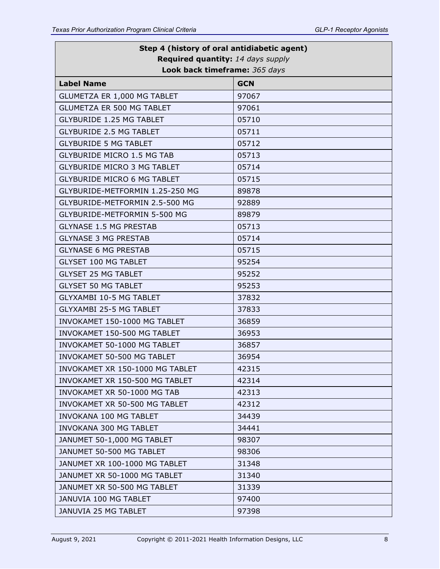| Step 4 (history of oral antidiabetic agent) |            |  |
|---------------------------------------------|------------|--|
| Required quantity: 14 days supply           |            |  |
| Look back timeframe: 365 days               |            |  |
| <b>Label Name</b>                           | <b>GCN</b> |  |
| GLUMETZA ER 1,000 MG TABLET                 | 97067      |  |
| <b>GLUMETZA ER 500 MG TABLET</b>            | 97061      |  |
| <b>GLYBURIDE 1.25 MG TABLET</b>             | 05710      |  |
| <b>GLYBURIDE 2.5 MG TABLET</b>              | 05711      |  |
| <b>GLYBURIDE 5 MG TABLET</b>                | 05712      |  |
| <b>GLYBURIDE MICRO 1.5 MG TAB</b>           | 05713      |  |
| <b>GLYBURIDE MICRO 3 MG TABLET</b>          | 05714      |  |
| <b>GLYBURIDE MICRO 6 MG TABLET</b>          | 05715      |  |
| GLYBURIDE-METFORMIN 1.25-250 MG             | 89878      |  |
| GLYBURIDE-METFORMIN 2.5-500 MG              | 92889      |  |
| GLYBURIDE-METFORMIN 5-500 MG                | 89879      |  |
| <b>GLYNASE 1.5 MG PRESTAB</b>               | 05713      |  |
| <b>GLYNASE 3 MG PRESTAB</b>                 | 05714      |  |
| <b>GLYNASE 6 MG PRESTAB</b>                 | 05715      |  |
| <b>GLYSET 100 MG TABLET</b>                 | 95254      |  |
| <b>GLYSET 25 MG TABLET</b>                  | 95252      |  |
| <b>GLYSET 50 MG TABLET</b>                  | 95253      |  |
| GLYXAMBI 10-5 MG TABLET                     | 37832      |  |
| <b>GLYXAMBI 25-5 MG TABLET</b>              | 37833      |  |
| INVOKAMET 150-1000 MG TABLET                | 36859      |  |
| INVOKAMET 150-500 MG TABLET                 | 36953      |  |
| INVOKAMET 50-1000 MG TABLET                 | 36857      |  |
| INVOKAMET 50-500 MG TABLET                  | 36954      |  |
| INVOKAMET XR 150-1000 MG TABLET             | 42315      |  |
| INVOKAMET XR 150-500 MG TABLET              | 42314      |  |
| <b>INVOKAMET XR 50-1000 MG TAB</b>          | 42313      |  |
| INVOKAMET XR 50-500 MG TABLET               | 42312      |  |
| <b>INVOKANA 100 MG TABLET</b>               | 34439      |  |
| <b>INVOKANA 300 MG TABLET</b>               | 34441      |  |
| JANUMET 50-1,000 MG TABLET                  | 98307      |  |
| JANUMET 50-500 MG TABLET                    | 98306      |  |
| JANUMET XR 100-1000 MG TABLET               | 31348      |  |
| JANUMET XR 50-1000 MG TABLET                | 31340      |  |
| JANUMET XR 50-500 MG TABLET                 | 31339      |  |
| JANUVIA 100 MG TABLET                       | 97400      |  |
| JANUVIA 25 MG TABLET                        | 97398      |  |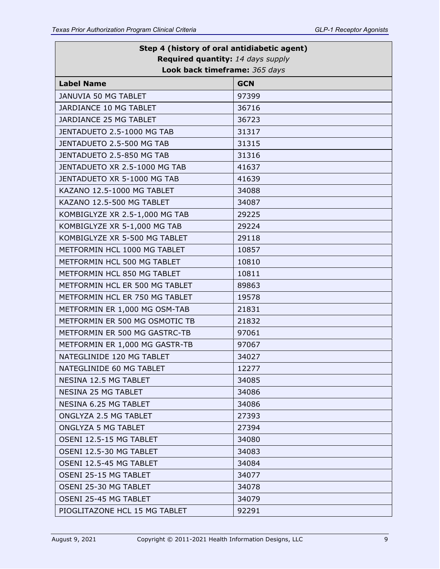| Step 4 (history of oral antidiabetic agent)                        |            |  |
|--------------------------------------------------------------------|------------|--|
| Required quantity: 14 days supply<br>Look back timeframe: 365 days |            |  |
| <b>Label Name</b>                                                  | <b>GCN</b> |  |
| JANUVIA 50 MG TABLET                                               | 97399      |  |
| JARDIANCE 10 MG TABLET                                             | 36716      |  |
| JARDIANCE 25 MG TABLET                                             | 36723      |  |
| JENTADUETO 2.5-1000 MG TAB                                         | 31317      |  |
| JENTADUETO 2.5-500 MG TAB                                          | 31315      |  |
| JENTADUETO 2.5-850 MG TAB                                          | 31316      |  |
| JENTADUETO XR 2.5-1000 MG TAB                                      | 41637      |  |
| JENTADUETO XR 5-1000 MG TAB                                        | 41639      |  |
| KAZANO 12.5-1000 MG TABLET                                         | 34088      |  |
| KAZANO 12.5-500 MG TABLET                                          | 34087      |  |
| KOMBIGLYZE XR 2.5-1,000 MG TAB                                     | 29225      |  |
| KOMBIGLYZE XR 5-1,000 MG TAB                                       | 29224      |  |
| KOMBIGLYZE XR 5-500 MG TABLET                                      | 29118      |  |
| METFORMIN HCL 1000 MG TABLET                                       | 10857      |  |
| METFORMIN HCL 500 MG TABLET                                        | 10810      |  |
| METFORMIN HCL 850 MG TABLET                                        | 10811      |  |
| METFORMIN HCL ER 500 MG TABLET                                     | 89863      |  |
| METFORMIN HCL ER 750 MG TABLET                                     | 19578      |  |
| METFORMIN ER 1,000 MG OSM-TAB                                      | 21831      |  |
| METFORMIN ER 500 MG OSMOTIC TB                                     | 21832      |  |
| METFORMIN ER 500 MG GASTRC-TB                                      | 97061      |  |
| METFORMIN ER 1,000 MG GASTR-TB                                     | 97067      |  |
| NATEGLINIDE 120 MG TABLET                                          | 34027      |  |
| NATEGLINIDE 60 MG TABLET                                           | 12277      |  |
| NESINA 12.5 MG TABLET                                              | 34085      |  |
| NESINA 25 MG TABLET                                                | 34086      |  |
| NESINA 6.25 MG TABLET                                              | 34086      |  |
| ONGLYZA 2.5 MG TABLET                                              | 27393      |  |
| <b>ONGLYZA 5 MG TABLET</b>                                         | 27394      |  |
| OSENI 12.5-15 MG TABLET                                            | 34080      |  |
| OSENI 12.5-30 MG TABLET                                            | 34083      |  |
| OSENI 12.5-45 MG TABLET                                            | 34084      |  |
| OSENI 25-15 MG TABLET                                              | 34077      |  |
| OSENI 25-30 MG TABLET                                              | 34078      |  |
| OSENI 25-45 MG TABLET                                              | 34079      |  |
| PIOGLITAZONE HCL 15 MG TABLET                                      | 92291      |  |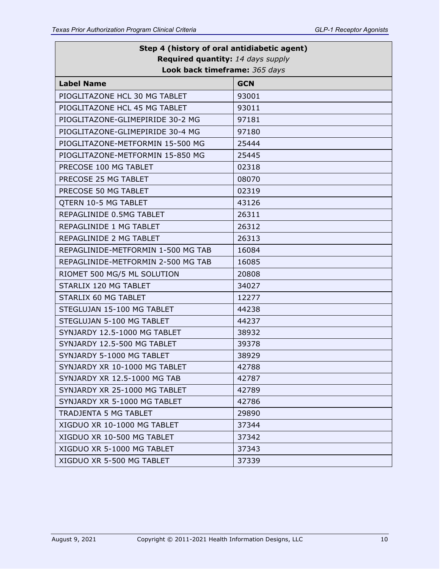| Step 4 (history of oral antidiabetic agent) |            |  |
|---------------------------------------------|------------|--|
| Required quantity: 14 days supply           |            |  |
| Look back timeframe: 365 days               |            |  |
| <b>Label Name</b>                           | <b>GCN</b> |  |
| PIOGLITAZONE HCL 30 MG TABLET               | 93001      |  |
| PIOGLITAZONE HCL 45 MG TABLET               | 93011      |  |
| PIOGLITAZONE-GLIMEPIRIDE 30-2 MG            | 97181      |  |
| PIOGLITAZONE-GLIMEPIRIDE 30-4 MG            | 97180      |  |
| PIOGLITAZONE-METFORMIN 15-500 MG            | 25444      |  |
| PIOGLITAZONE-METFORMIN 15-850 MG            | 25445      |  |
| PRECOSE 100 MG TABLET                       | 02318      |  |
| PRECOSE 25 MG TABLET                        | 08070      |  |
| PRECOSE 50 MG TABLET                        | 02319      |  |
| <b>QTERN 10-5 MG TABLET</b>                 | 43126      |  |
| REPAGLINIDE 0.5MG TABLET                    | 26311      |  |
| REPAGLINIDE 1 MG TABLET                     | 26312      |  |
| REPAGLINIDE 2 MG TABLET                     | 26313      |  |
| REPAGLINIDE-METFORMIN 1-500 MG TAB          | 16084      |  |
| REPAGLINIDE-METFORMIN 2-500 MG TAB          | 16085      |  |
| RIOMET 500 MG/5 ML SOLUTION                 | 20808      |  |
| STARLIX 120 MG TABLET                       | 34027      |  |
| STARLIX 60 MG TABLET                        | 12277      |  |
| STEGLUJAN 15-100 MG TABLET                  | 44238      |  |
| STEGLUJAN 5-100 MG TABLET                   | 44237      |  |
| SYNJARDY 12.5-1000 MG TABLET                | 38932      |  |
| SYNJARDY 12.5-500 MG TABLET                 | 39378      |  |
| SYNJARDY 5-1000 MG TABLET                   | 38929      |  |
| SYNJARDY XR 10-1000 MG TABLET               | 42788      |  |
| SYNJARDY XR 12.5-1000 MG TAB                | 42787      |  |
| SYNJARDY XR 25-1000 MG TABLET               | 42789      |  |
| SYNJARDY XR 5-1000 MG TABLET                | 42786      |  |
| <b>TRADJENTA 5 MG TABLET</b>                | 29890      |  |
| XIGDUO XR 10-1000 MG TABLET                 | 37344      |  |
| XIGDUO XR 10-500 MG TABLET                  | 37342      |  |
| XIGDUO XR 5-1000 MG TABLET                  | 37343      |  |
| XIGDUO XR 5-500 MG TABLET                   | 37339      |  |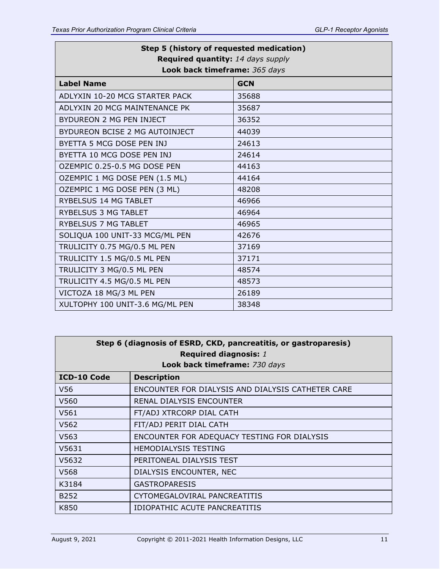$\overline{\Gamma}$ 

| Step 5 (history of requested medication) |                               |  |
|------------------------------------------|-------------------------------|--|
| Required quantity: 14 days supply        |                               |  |
|                                          | Look back timeframe: 365 days |  |
| <b>GCN</b><br><b>Label Name</b>          |                               |  |
| ADLYXIN 10-20 MCG STARTER PACK           | 35688                         |  |
| ADLYXIN 20 MCG MAINTENANCE PK            | 35687                         |  |
| BYDUREON 2 MG PEN INJECT                 | 36352                         |  |
| BYDUREON BCISE 2 MG AUTOINJECT           | 44039                         |  |
| BYETTA 5 MCG DOSE PEN INJ                | 24613                         |  |
| BYETTA 10 MCG DOSE PEN INJ               | 24614                         |  |
| OZEMPIC 0.25-0.5 MG DOSE PEN             | 44163                         |  |
| OZEMPIC 1 MG DOSE PEN (1.5 ML)           | 44164                         |  |
| OZEMPIC 1 MG DOSE PEN (3 ML)             | 48208                         |  |
| RYBELSUS 14 MG TABLET                    | 46966                         |  |
| <b>RYBELSUS 3 MG TABLET</b>              | 46964                         |  |
| <b>RYBELSUS 7 MG TABLET</b>              | 46965                         |  |
| SOLIQUA 100 UNIT-33 MCG/ML PEN           | 42676                         |  |
| TRULICITY 0.75 MG/0.5 ML PEN             | 37169                         |  |
| TRULICITY 1.5 MG/0.5 ML PEN              | 37171                         |  |
| TRULICITY 3 MG/0.5 ML PEN                | 48574                         |  |
| TRULICITY 4.5 MG/0.5 ML PEN              | 48573                         |  |
| VICTOZA 18 MG/3 ML PEN                   | 26189                         |  |
| XULTOPHY 100 UNIT-3.6 MG/ML PEN          | 38348                         |  |

| Step 6 (diagnosis of ESRD, CKD, pancreatitis, or gastroparesis)<br>Required diagnosis: 1 |                                                   |
|------------------------------------------------------------------------------------------|---------------------------------------------------|
|                                                                                          | Look back timeframe: 730 days                     |
| ICD-10 Code                                                                              | <b>Description</b>                                |
| V56                                                                                      | ENCOUNTER FOR DIALYSIS AND DIALYSIS CATHETER CARE |
| V560                                                                                     | RENAL DIALYSIS ENCOUNTER                          |
| V561                                                                                     | FT/ADJ XTRCORP DIAL CATH                          |
| V562                                                                                     | FIT/ADJ PERIT DIAL CATH                           |
| V563                                                                                     | ENCOUNTER FOR ADEQUACY TESTING FOR DIALYSIS       |
| V5631                                                                                    | <b>HEMODIALYSIS TESTING</b>                       |
| V5632                                                                                    | PERITONEAL DIALYSIS TEST                          |
| V <sub>568</sub>                                                                         | DIALYSIS ENCOUNTER, NEC                           |
| K3184                                                                                    | <b>GASTROPARESIS</b>                              |
| B <sub>252</sub>                                                                         | CYTOMEGALOVIRAL PANCREATITIS                      |
| K850                                                                                     | IDIOPATHIC ACUTE PANCREATITIS                     |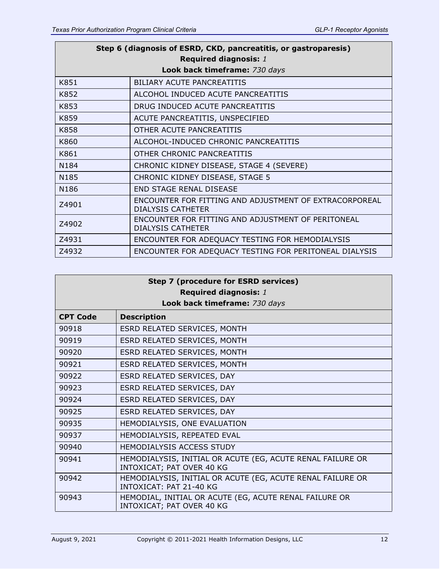| Step 6 (diagnosis of ESRD, CKD, pancreatitis, or gastroparesis) |                                                                                    |
|-----------------------------------------------------------------|------------------------------------------------------------------------------------|
|                                                                 | Required diagnosis: 1                                                              |
|                                                                 | Look back timeframe: 730 days                                                      |
| K851                                                            | <b>BILIARY ACUTE PANCREATITIS</b>                                                  |
| K852                                                            | ALCOHOL INDUCED ACUTE PANCREATITIS                                                 |
| K853                                                            | DRUG INDUCED ACUTE PANCREATITIS                                                    |
| K859                                                            | ACUTE PANCREATITIS, UNSPECIFIED                                                    |
| K858                                                            | OTHER ACUTE PANCREATITIS                                                           |
| K860                                                            | ALCOHOL-INDUCED CHRONIC PANCREATITIS                                               |
| K861                                                            | OTHER CHRONIC PANCREATITIS                                                         |
| N <sub>1</sub> 84                                               | CHRONIC KIDNEY DISEASE, STAGE 4 (SEVERE)                                           |
| N <sub>1</sub> 85                                               | <b>CHRONIC KIDNEY DISEASE, STAGE 5</b>                                             |
| N186                                                            | <b>END STAGE RENAL DISEASE</b>                                                     |
| Z4901                                                           | ENCOUNTER FOR FITTING AND ADJUSTMENT OF EXTRACORPOREAL<br><b>DIALYSIS CATHETER</b> |
| Z4902                                                           | ENCOUNTER FOR FITTING AND ADJUSTMENT OF PERITONEAL<br><b>DIALYSIS CATHETER</b>     |
| Z4931                                                           | ENCOUNTER FOR ADEQUACY TESTING FOR HEMODIALYSIS                                    |
| Z4932                                                           | ENCOUNTER FOR ADEQUACY TESTING FOR PERITONEAL DIALYSIS                             |

| Step 7 (procedure for ESRD services) |                                                                                         |
|--------------------------------------|-----------------------------------------------------------------------------------------|
| Required diagnosis: 1                |                                                                                         |
|                                      | Look back timeframe: 730 days                                                           |
| <b>CPT Code</b>                      | <b>Description</b>                                                                      |
| 90918                                | ESRD RELATED SERVICES, MONTH                                                            |
| 90919                                | ESRD RELATED SERVICES, MONTH                                                            |
| 90920                                | ESRD RELATED SERVICES, MONTH                                                            |
| 90921                                | ESRD RELATED SERVICES, MONTH                                                            |
| 90922                                | ESRD RELATED SERVICES, DAY                                                              |
| 90923                                | ESRD RELATED SERVICES, DAY                                                              |
| 90924                                | ESRD RELATED SERVICES, DAY                                                              |
| 90925                                | ESRD RELATED SERVICES, DAY                                                              |
| 90935                                | HEMODIALYSIS, ONE EVALUATION                                                            |
| 90937                                | HEMODIALYSIS, REPEATED EVAL                                                             |
| 90940                                | <b>HEMODIALYSIS ACCESS STUDY</b>                                                        |
| 90941                                | HEMODIALYSIS, INITIAL OR ACUTE (EG, ACUTE RENAL FAILURE OR<br>INTOXICAT; PAT OVER 40 KG |
| 90942                                | HEMODIALYSIS, INITIAL OR ACUTE (EG, ACUTE RENAL FAILURE OR<br>INTOXICAT: PAT 21-40 KG   |
| 90943                                | HEMODIAL, INITIAL OR ACUTE (EG, ACUTE RENAL FAILURE OR<br>INTOXICAT; PAT OVER 40 KG     |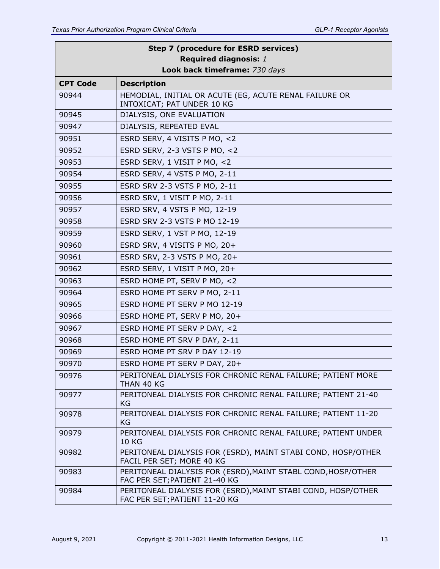| Step 7 (procedure for ESRD services)                   |                                                                                               |  |
|--------------------------------------------------------|-----------------------------------------------------------------------------------------------|--|
| Required diagnosis: 1<br>Look back timeframe: 730 days |                                                                                               |  |
|                                                        |                                                                                               |  |
| <b>CPT Code</b><br>90944                               | <b>Description</b>                                                                            |  |
|                                                        | HEMODIAL, INITIAL OR ACUTE (EG, ACUTE RENAL FAILURE OR<br>INTOXICAT; PAT UNDER 10 KG          |  |
| 90945                                                  | DIALYSIS, ONE EVALUATION                                                                      |  |
| 90947                                                  | DIALYSIS, REPEATED EVAL                                                                       |  |
| 90951                                                  | ESRD SERV, 4 VISITS P MO, <2                                                                  |  |
| 90952                                                  | ESRD SERV, 2-3 VSTS P MO, <2                                                                  |  |
| 90953                                                  | ESRD SERV, 1 VISIT P MO, <2                                                                   |  |
| 90954                                                  | ESRD SERV, 4 VSTS P MO, 2-11                                                                  |  |
| 90955                                                  | ESRD SRV 2-3 VSTS P MO, 2-11                                                                  |  |
| 90956                                                  | ESRD SRV, 1 VISIT P MO, 2-11                                                                  |  |
| 90957                                                  | ESRD SRV, 4 VSTS P MO, 12-19                                                                  |  |
| 90958                                                  | ESRD SRV 2-3 VSTS P MO 12-19                                                                  |  |
| 90959                                                  | ESRD SERV, 1 VST P MO, 12-19                                                                  |  |
| 90960                                                  | ESRD SRV, 4 VISITS P MO, 20+                                                                  |  |
| 90961                                                  | ESRD SRV, 2-3 VSTS P MO, 20+                                                                  |  |
| 90962                                                  | ESRD SERV, 1 VISIT P MO, 20+                                                                  |  |
| 90963                                                  | ESRD HOME PT, SERV P MO, <2                                                                   |  |
| 90964                                                  | ESRD HOME PT SERV P MO, 2-11                                                                  |  |
| 90965                                                  | ESRD HOME PT SERV P MO 12-19                                                                  |  |
| 90966                                                  | ESRD HOME PT, SERV P MO, 20+                                                                  |  |
| 90967                                                  | ESRD HOME PT SERV P DAY, <2                                                                   |  |
| 90968                                                  | ESRD HOME PT SRV P DAY, 2-11                                                                  |  |
| 90969                                                  | ESRD HOME PT SRV P DAY 12-19                                                                  |  |
| 90970                                                  | ESRD HOME PT SERV P DAY, 20+                                                                  |  |
| 90976                                                  | PERITONEAL DIALYSIS FOR CHRONIC RENAL FAILURE; PATIENT MORE<br>THAN 40 KG                     |  |
| 90977                                                  | PERITONEAL DIALYSIS FOR CHRONIC RENAL FAILURE; PATIENT 21-40<br>KG                            |  |
| 90978                                                  | PERITONEAL DIALYSIS FOR CHRONIC RENAL FAILURE; PATIENT 11-20<br>KG                            |  |
| 90979                                                  | PERITONEAL DIALYSIS FOR CHRONIC RENAL FAILURE; PATIENT UNDER<br><b>10 KG</b>                  |  |
| 90982                                                  | PERITONEAL DIALYSIS FOR (ESRD), MAINT STABI COND, HOSP/OTHER<br>FACIL PER SET; MORE 40 KG     |  |
| 90983                                                  | PERITONEAL DIALYSIS FOR (ESRD), MAINT STABL COND, HOSP/OTHER<br>FAC PER SET; PATIENT 21-40 KG |  |
| 90984                                                  | PERITONEAL DIALYSIS FOR (ESRD), MAINT STABI COND, HOSP/OTHER<br>FAC PER SET; PATIENT 11-20 KG |  |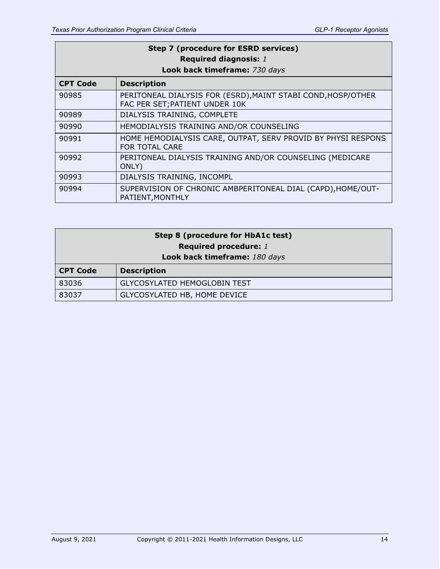| Step 7 (procedure for ESRD services)<br><b>Required diagnosis: 1</b><br>Look back timeframe: 730 days |                                                                                                |  |
|-------------------------------------------------------------------------------------------------------|------------------------------------------------------------------------------------------------|--|
| <b>CPT Code</b>                                                                                       | <b>Description</b>                                                                             |  |
| 90985                                                                                                 | PERITONEAL DIALYSIS FOR (ESRD), MAINT STABI COND, HOSP/OTHER<br>FAC PER SET; PATIENT UNDER 10K |  |
| 90989                                                                                                 | DIALYSIS TRAINING, COMPLETE                                                                    |  |
| 90990                                                                                                 | HEMODIALYSIS TRAINING AND/OR COUNSELING                                                        |  |
| 90991                                                                                                 | HOME HEMODIALYSIS CARE, OUTPAT, SERV PROVID BY PHYSI RESPONS<br>FOR TOTAL CARE                 |  |
| 90992                                                                                                 | PERITONEAL DIALYSIS TRAINING AND/OR COUNSELING (MEDICARE<br>ONLY)                              |  |
| 90993                                                                                                 | DIALYSIS TRAINING, INCOMPL                                                                     |  |
| 90994                                                                                                 | SUPERVISION OF CHRONIC AMBPERITONEAL DIAL (CAPD), HOME/OUT-<br>PATIENT, MONTHLY                |  |

| Step 8 (procedure for HbA1c test)<br>Required procedure: 1<br>Look back timeframe: 180 days |                                     |  |
|---------------------------------------------------------------------------------------------|-------------------------------------|--|
| <b>CPT Code</b>                                                                             | <b>Description</b>                  |  |
| 83036                                                                                       | <b>GLYCOSYLATED HEMOGLOBIN TEST</b> |  |
| 83037                                                                                       | GLYCOSYLATED HB, HOME DEVICE        |  |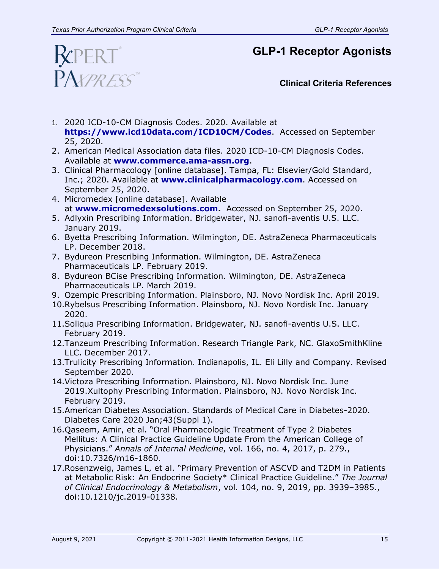

<span id="page-14-0"></span>**Clinical Criteria References**

- 1. 2020 ICD-10-CM Diagnosis Codes. 2020. Available at **<https://www.icd10data.com/ICD10CM/Codes>**. Accessed on September 25, 2020.
- 2. American Medical Association data files. 2020 ICD-10-CM Diagnosis Codes. Available at **[www.commerce.ama-assn.org](http://www.commerce.ama-assn.org/)**.
- 3. Clinical Pharmacology [online database]. Tampa, FL: Elsevier/Gold Standard, Inc.; 2020. Available at **[www.clinicalpharmacology.com](http://www.clinicalpharmacology.com/)**. Accessed on September 25, 2020.
- 4. Micromedex [online database]. Available at **[www.micromedexsolutions.com.](http://www.micromedexsolutions.com/)** Accessed on September 25, 2020.
- 5. Adlyxin Prescribing Information. Bridgewater, NJ. sanofi-aventis U.S. LLC. January 2019.
- 6. Byetta Prescribing Information. Wilmington, DE. AstraZeneca Pharmaceuticals LP. December 2018.
- 7. Bydureon Prescribing Information. Wilmington, DE. AstraZeneca Pharmaceuticals LP. February 2019.
- 8. Bydureon BCise Prescribing Information. Wilmington, DE. AstraZeneca Pharmaceuticals LP. March 2019.
- 9. Ozempic Prescribing Information. Plainsboro, NJ. Novo Nordisk Inc. April 2019.
- 10.Rybelsus Prescribing Information. Plainsboro, NJ. Novo Nordisk Inc. January 2020.
- 11.Soliqua Prescribing Information. Bridgewater, NJ. sanofi-aventis U.S. LLC. February 2019.
- 12.Tanzeum Prescribing Information. Research Triangle Park, NC. GlaxoSmithKline LLC. December 2017.
- 13.Trulicity Prescribing Information. Indianapolis, IL. Eli Lilly and Company. Revised September 2020.
- 14.Victoza Prescribing Information. Plainsboro, NJ. Novo Nordisk Inc. June 2019.Xultophy Prescribing Information. Plainsboro, NJ. Novo Nordisk Inc. February 2019.
- 15.American Diabetes Association. Standards of Medical Care in Diabetes-2020. Diabetes Care 2020 Jan;43(Suppl 1).
- 16.Qaseem, Amir, et al. "Oral Pharmacologic Treatment of Type 2 Diabetes Mellitus: A Clinical Practice Guideline Update From the American College of Physicians." *Annals of Internal Medicine*, vol. 166, no. 4, 2017, p. 279., doi:10.7326/m16-1860.
- 17.Rosenzweig, James L, et al. "Primary Prevention of ASCVD and T2DM in Patients at Metabolic Risk: An Endocrine Society\* Clinical Practice Guideline." *The Journal of Clinical Endocrinology & Metabolism*, vol. 104, no. 9, 2019, pp. 3939–3985., doi:10.1210/jc.2019-01338.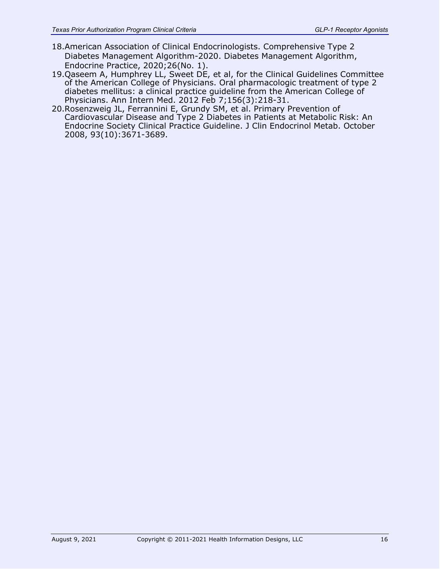- 18.American Association of Clinical Endocrinologists. Comprehensive Type 2 Diabetes Management Algorithm-2020. Diabetes Management Algorithm, Endocrine Practice, 2020;26(No. 1).
- 19.Qaseem A, Humphrey LL, Sweet DE, et al, for the Clinical Guidelines Committee of the American College of Physicians. Oral pharmacologic treatment of type 2 diabetes mellitus: a clinical practice guideline from the American College of Physicians. Ann Intern Med. 2012 Feb 7;156(3):218-31.
- 20.Rosenzweig JL, Ferrannini E, Grundy SM, et al. Primary Prevention of Cardiovascular Disease and Type 2 Diabetes in Patients at Metabolic Risk: An Endocrine Society Clinical Practice Guideline. J Clin Endocrinol Metab. October 2008, 93(10):3671-3689.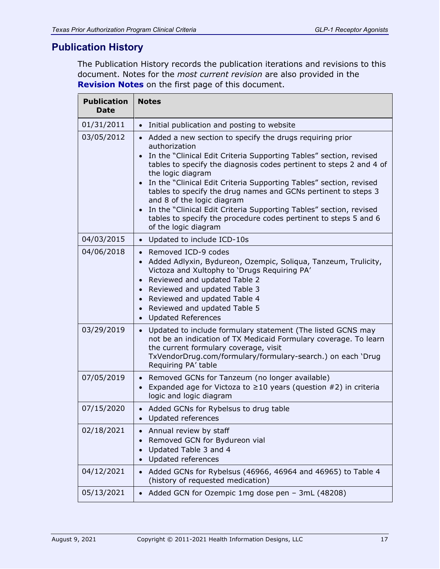### **Publication History**

The Publication History records the publication iterations and revisions to this document. Notes for the *most current revision* are also provided in the **[Revision Notes](#page-0-0)** on the first page of this document.

| <b>Publication</b><br><b>Date</b> | <b>Notes</b>                                                                                                                                                                                                                                                                                                                                                                                                                                                                                                                                                                              |
|-----------------------------------|-------------------------------------------------------------------------------------------------------------------------------------------------------------------------------------------------------------------------------------------------------------------------------------------------------------------------------------------------------------------------------------------------------------------------------------------------------------------------------------------------------------------------------------------------------------------------------------------|
| 01/31/2011                        | Initial publication and posting to website                                                                                                                                                                                                                                                                                                                                                                                                                                                                                                                                                |
| 03/05/2012                        | • Added a new section to specify the drugs requiring prior<br>authorization<br>In the "Clinical Edit Criteria Supporting Tables" section, revised<br>tables to specify the diagnosis codes pertinent to steps 2 and 4 of<br>the logic diagram<br>• In the "Clinical Edit Criteria Supporting Tables" section, revised<br>tables to specify the drug names and GCNs pertinent to steps 3<br>and 8 of the logic diagram<br>• In the "Clinical Edit Criteria Supporting Tables" section, revised<br>tables to specify the procedure codes pertinent to steps 5 and 6<br>of the logic diagram |
| 04/03/2015                        | • Updated to include ICD-10s                                                                                                                                                                                                                                                                                                                                                                                                                                                                                                                                                              |
| 04/06/2018                        | • Removed ICD-9 codes<br>Added Adlyxin, Bydureon, Ozempic, Soliqua, Tanzeum, Trulicity,<br>Victoza and Xultophy to 'Drugs Requiring PA'<br>Reviewed and updated Table 2<br>Reviewed and updated Table 3<br>Reviewed and updated Table 4<br>Reviewed and updated Table 5<br>• Updated References                                                                                                                                                                                                                                                                                           |
| 03/29/2019                        | • Updated to include formulary statement (The listed GCNS may<br>not be an indication of TX Medicaid Formulary coverage. To learn<br>the current formulary coverage, visit<br>TxVendorDrug.com/formulary/formulary-search.) on each 'Drug<br>Requiring PA' table                                                                                                                                                                                                                                                                                                                          |
| 07/05/2019                        | • Removed GCNs for Tanzeum (no longer available)<br>Expanded age for Victoza to $\geq$ 10 years (question #2) in criteria<br>$\bullet$<br>logic and logic diagram                                                                                                                                                                                                                                                                                                                                                                                                                         |
| 07/15/2020                        | • Added GCNs for Rybelsus to drug table<br><b>Updated references</b>                                                                                                                                                                                                                                                                                                                                                                                                                                                                                                                      |
| 02/18/2021                        | Annual review by staff<br>Removed GCN for Bydureon vial<br>Updated Table 3 and 4<br><b>Updated references</b>                                                                                                                                                                                                                                                                                                                                                                                                                                                                             |
| 04/12/2021                        | Added GCNs for Rybelsus (46966, 46964 and 46965) to Table 4<br>$\bullet$<br>(history of requested medication)                                                                                                                                                                                                                                                                                                                                                                                                                                                                             |
| 05/13/2021                        | Added GCN for Ozempic 1mg dose pen - 3mL (48208)                                                                                                                                                                                                                                                                                                                                                                                                                                                                                                                                          |